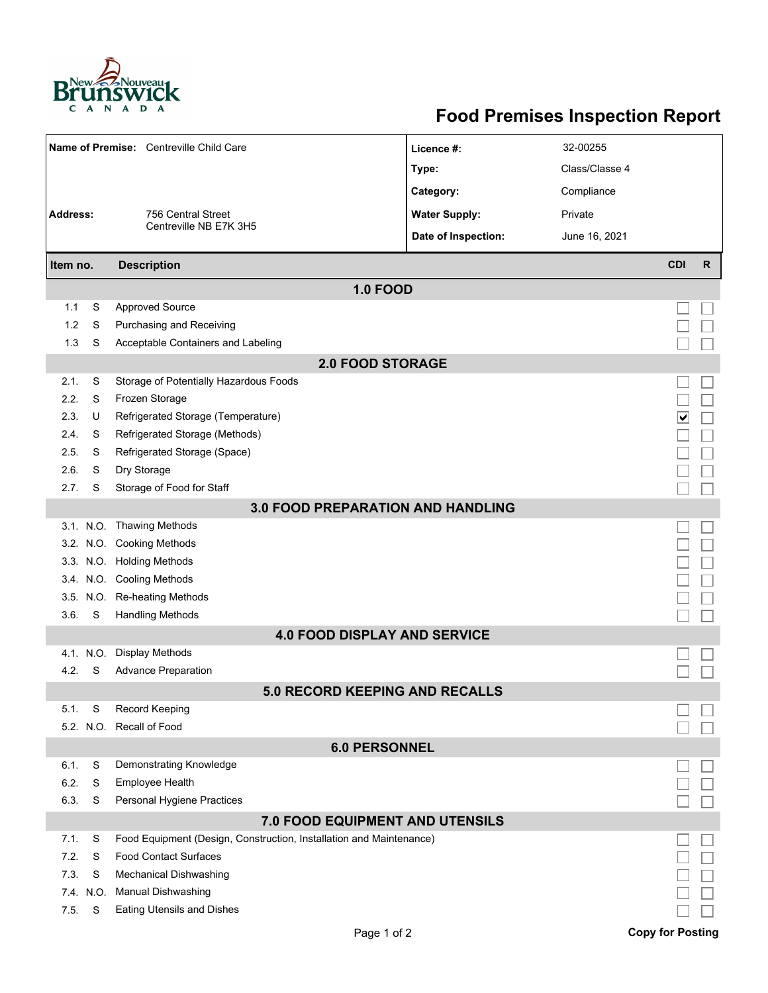

## **Food Premises Inspection Report**

| Name of Premise: Centreville Child Care  |           |                                                                     | Licence #:           | 32-00255       |            |              |  |  |  |  |
|------------------------------------------|-----------|---------------------------------------------------------------------|----------------------|----------------|------------|--------------|--|--|--|--|
|                                          |           |                                                                     | Type:                | Class/Classe 4 |            |              |  |  |  |  |
|                                          |           |                                                                     | Category:            | Compliance     |            |              |  |  |  |  |
| <b>Address:</b>                          |           | 756 Central Street                                                  | <b>Water Supply:</b> | Private        |            |              |  |  |  |  |
|                                          |           | Centreville NB E7K 3H5                                              | Date of Inspection:  | June 16, 2021  |            |              |  |  |  |  |
|                                          |           |                                                                     |                      |                |            |              |  |  |  |  |
| Item no.                                 |           | <b>Description</b>                                                  |                      |                | <b>CDI</b> | $\mathsf{R}$ |  |  |  |  |
| <b>1.0 FOOD</b>                          |           |                                                                     |                      |                |            |              |  |  |  |  |
| 1.1                                      | S         | <b>Approved Source</b>                                              |                      |                |            |              |  |  |  |  |
| 1.2                                      | S         | Purchasing and Receiving                                            |                      |                |            |              |  |  |  |  |
| 1.3                                      | S         | Acceptable Containers and Labeling                                  |                      |                |            |              |  |  |  |  |
| <b>2.0 FOOD STORAGE</b>                  |           |                                                                     |                      |                |            |              |  |  |  |  |
| 2.1.                                     | S         | Storage of Potentially Hazardous Foods                              |                      |                |            |              |  |  |  |  |
| 2.2.                                     | S         | Frozen Storage                                                      |                      |                |            |              |  |  |  |  |
| 2.3.                                     | U         | Refrigerated Storage (Temperature)                                  |                      |                | ✔          |              |  |  |  |  |
| 2.4.                                     | S         | Refrigerated Storage (Methods)                                      |                      |                |            |              |  |  |  |  |
| 2.5.                                     | S         | Refrigerated Storage (Space)                                        |                      |                |            |              |  |  |  |  |
| 2.6.                                     | S         | Dry Storage                                                         |                      |                |            |              |  |  |  |  |
| 2.7.                                     | S         | Storage of Food for Staff                                           |                      |                |            |              |  |  |  |  |
| <b>3.0 FOOD PREPARATION AND HANDLING</b> |           |                                                                     |                      |                |            |              |  |  |  |  |
|                                          |           | 3.1. N.O. Thawing Methods                                           |                      |                |            |              |  |  |  |  |
|                                          |           | 3.2. N.O. Cooking Methods                                           |                      |                |            |              |  |  |  |  |
|                                          |           | 3.3. N.O. Holding Methods                                           |                      |                |            |              |  |  |  |  |
|                                          |           | 3.4. N.O. Cooling Methods                                           |                      |                |            |              |  |  |  |  |
|                                          |           | 3.5. N.O. Re-heating Methods                                        |                      |                |            |              |  |  |  |  |
| 3.6.                                     | S         | <b>Handling Methods</b>                                             |                      |                |            |              |  |  |  |  |
|                                          |           | <b>4.0 FOOD DISPLAY AND SERVICE</b>                                 |                      |                |            |              |  |  |  |  |
|                                          | 4.1. N.O. | Display Methods                                                     |                      |                |            |              |  |  |  |  |
| 4.2.                                     | S         | <b>Advance Preparation</b>                                          |                      |                |            |              |  |  |  |  |
|                                          |           | <b>5.0 RECORD KEEPING AND RECALLS</b>                               |                      |                |            |              |  |  |  |  |
| 5.1.                                     | S         | <b>Record Keeping</b>                                               |                      |                |            |              |  |  |  |  |
|                                          |           | 5.2. N.O. Recall of Food                                            |                      |                |            |              |  |  |  |  |
| <b>6.0 PERSONNEL</b>                     |           |                                                                     |                      |                |            |              |  |  |  |  |
| 6.1.                                     | S         | Demonstrating Knowledge                                             |                      |                |            |              |  |  |  |  |
| 6.2.                                     | S         | Employee Health                                                     |                      |                |            |              |  |  |  |  |
| 6.3.                                     | S         | Personal Hygiene Practices                                          |                      |                |            |              |  |  |  |  |
|                                          |           | 7.0 FOOD EQUIPMENT AND UTENSILS                                     |                      |                |            |              |  |  |  |  |
| 7.1.                                     | S         | Food Equipment (Design, Construction, Installation and Maintenance) |                      |                |            |              |  |  |  |  |
| 7.2.                                     | S         | <b>Food Contact Surfaces</b>                                        |                      |                |            |              |  |  |  |  |
| 7.3.                                     | S         | <b>Mechanical Dishwashing</b>                                       |                      |                |            |              |  |  |  |  |
|                                          | 7.4. N.O. | <b>Manual Dishwashing</b>                                           |                      |                |            |              |  |  |  |  |
| 7.5.                                     | S         | <b>Eating Utensils and Dishes</b>                                   |                      |                |            |              |  |  |  |  |